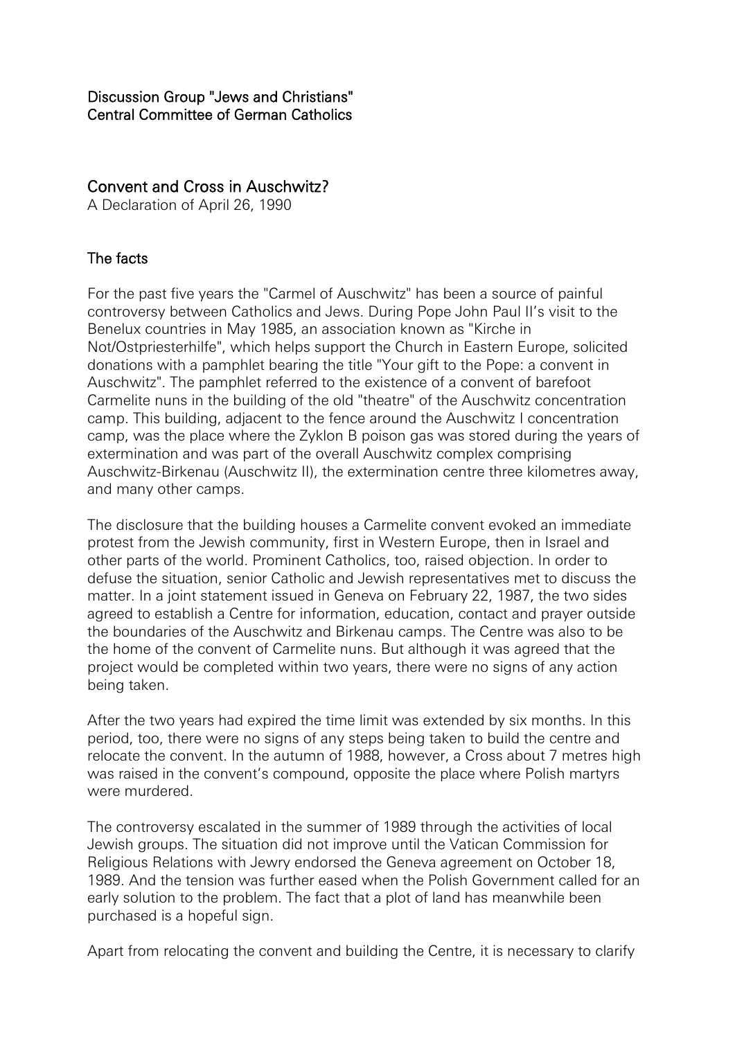## Convent and Cross in Auschwitz?

A Declaration of April 26, 1990

## The facts

For the past five years the "Carmel of Auschwitz" has been a source of painful controversy between Catholics and Jews. During Pope John Paul II's visit to the Benelux countries in May 1985, an association known as "Kirche in Not/Ostpriesterhilfe", which helps support the Church in Eastern Europe, solicited donations with a pamphlet bearing the title "Your gift to the Pope: a convent in Auschwitz". The pamphlet referred to the existence of a convent of barefoot Carmelite nuns in the building of the old "theatre" of the Auschwitz concentration camp. This building, adjacent to the fence around the Auschwitz I concentration camp, was the place where the Zyklon B poison gas was stored during the years of extermination and was part of the overall Auschwitz complex comprising Auschwitz-Birkenau (Auschwitz II), the extermination centre three kilometres away, and many other camps.

The disclosure that the building houses a Carmelite convent evoked an immediate protest from the Jewish community, first in Western Europe, then in Israel and other parts of the world. Prominent Catholics, too, raised objection. In order to defuse the situation, senior Catholic and Jewish representatives met to discuss the matter. In a joint statement issued in Geneva on February 22, 1987, the two sides agreed to establish a Centre for information, education, contact and prayer outside the boundaries of the Auschwitz and Birkenau camps. The Centre was also to be the home of the convent of Carmelite nuns. But although it was agreed that the project would be completed within two years, there were no signs of any action being taken.

After the two years had expired the time limit was extended by six months. In this period, too, there were no signs of any steps being taken to build the centre and relocate the convent. In the autumn of 1988, however, a Cross about 7 metres high was raised in the convent's compound, opposite the place where Polish martyrs were murdered.

The controversy escalated in the summer of 1989 through the activities of local Jewish groups. The situation did not improve until the Vatican Commission for Religious Relations with Jewry endorsed the Geneva agreement on October 18, 1989. And the tension was further eased when the Polish Government called for an early solution to the problem. The fact that a plot of land has meanwhile been purchased is a hopeful sign.

Apart from relocating the convent and building the Centre, it is necessary to clarify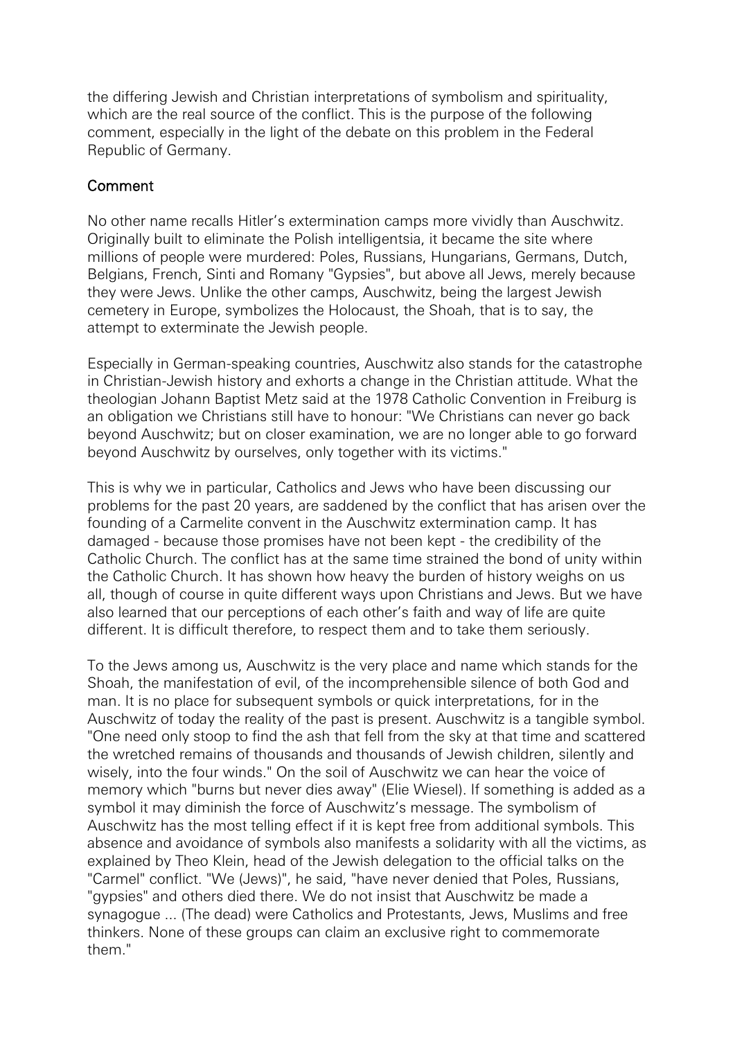the differing Jewish and Christian interpretations of symbolism and spirituality, which are the real source of the conflict. This is the purpose of the following comment, especially in the light of the debate on this problem in the Federal Republic of Germany.

## Comment

No other name recalls Hitler's extermination camps more vividly than Auschwitz. Originally built to eliminate the Polish intelligentsia, it became the site where millions of people were murdered: Poles, Russians, Hungarians, Germans, Dutch, Belgians, French, Sinti and Romany "Gypsies", but above all Jews, merely because they were Jews. Unlike the other camps, Auschwitz, being the largest Jewish cemetery in Europe, symbolizes the Holocaust, the Shoah, that is to say, the attempt to exterminate the Jewish people.

Especially in German-speaking countries, Auschwitz also stands for the catastrophe in Christian-Jewish history and exhorts a change in the Christian attitude. What the theologian Johann Baptist Metz said at the 1978 Catholic Convention in Freiburg is an obligation we Christians still have to honour: "We Christians can never go back beyond Auschwitz; but on closer examination, we are no longer able to go forward beyond Auschwitz by ourselves, only together with its victims."

This is why we in particular, Catholics and Jews who have been discussing our problems for the past 20 years, are saddened by the conflict that has arisen over the founding of a Carmelite convent in the Auschwitz extermination camp. It has damaged - because those promises have not been kept - the credibility of the Catholic Church. The conflict has at the same time strained the bond of unity within the Catholic Church. It has shown how heavy the burden of history weighs on us all, though of course in quite different ways upon Christians and Jews. But we have also learned that our perceptions of each other's faith and way of life are quite different. It is difficult therefore, to respect them and to take them seriously.

To the Jews among us, Auschwitz is the very place and name which stands for the Shoah, the manifestation of evil, of the incomprehensible silence of both God and man. It is no place for subsequent symbols or quick interpretations, for in the Auschwitz of today the reality of the past is present. Auschwitz is a tangible symbol. "One need only stoop to find the ash that fell from the sky at that time and scattered the wretched remains of thousands and thousands of Jewish children, silently and wisely, into the four winds." On the soil of Auschwitz we can hear the voice of memory which "burns but never dies away" (Elie Wiesel). If something is added as a symbol it may diminish the force of Auschwitz's message. The symbolism of Auschwitz has the most telling effect if it is kept free from additional symbols. This absence and avoidance of symbols also manifests a solidarity with all the victims, as explained by Theo Klein, head of the Jewish delegation to the official talks on the "Carmel" conflict. "We (Jews)", he said, "have never denied that Poles, Russians, "gypsies" and others died there. We do not insist that Auschwitz be made a synagogue ... (The dead) were Catholics and Protestants, Jews, Muslims and free thinkers. None of these groups can claim an exclusive right to commemorate them."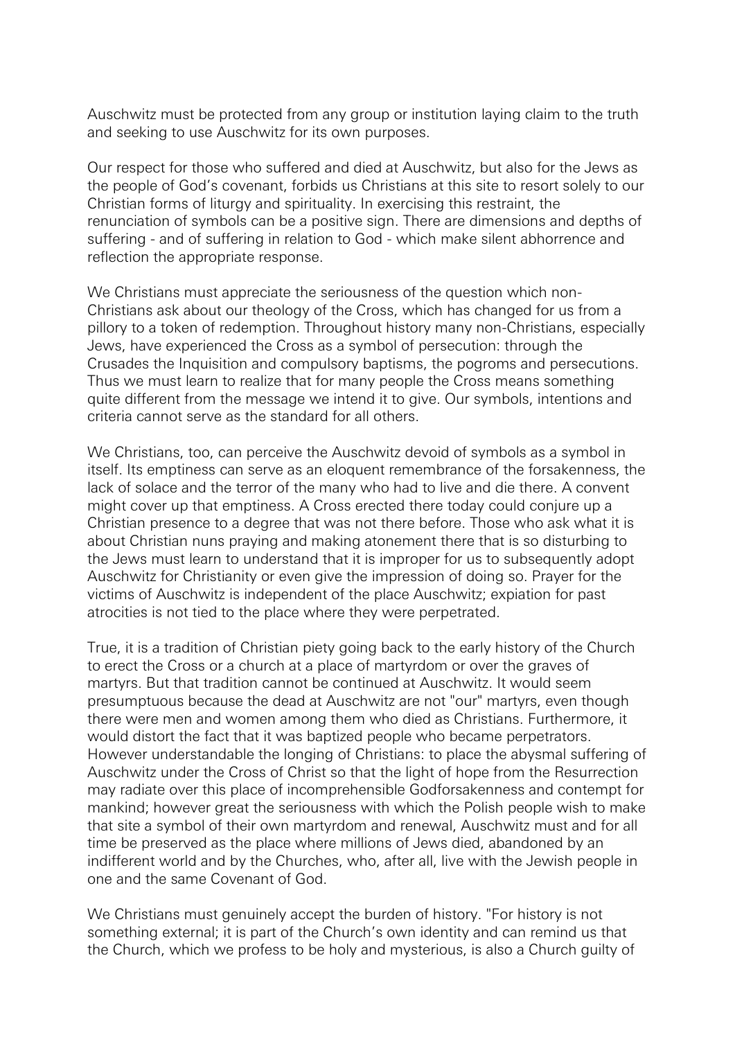Auschwitz must be protected from any group or institution laying claim to the truth and seeking to use Auschwitz for its own purposes.

Our respect for those who suffered and died at Auschwitz, but also for the Jews as the people of God's covenant, forbids us Christians at this site to resort solely to our Christian forms of liturgy and spirituality. In exercising this restraint, the renunciation of symbols can be a positive sign. There are dimensions and depths of suffering - and of suffering in relation to God - which make silent abhorrence and reflection the appropriate response.

We Christians must appreciate the seriousness of the question which non-Christians ask about our theology of the Cross, which has changed for us from a pillory to a token of redemption. Throughout history many non-Christians, especially Jews, have experienced the Cross as a symbol of persecution: through the Crusades the Inquisition and compulsory baptisms, the pogroms and persecutions. Thus we must learn to realize that for many people the Cross means something quite different from the message we intend it to give. Our symbols, intentions and criteria cannot serve as the standard for all others.

We Christians, too, can perceive the Auschwitz devoid of symbols as a symbol in itself. Its emptiness can serve as an eloquent remembrance of the forsakenness, the lack of solace and the terror of the many who had to live and die there. A convent might cover up that emptiness. A Cross erected there today could conjure up a Christian presence to a degree that was not there before. Those who ask what it is about Christian nuns praying and making atonement there that is so disturbing to the Jews must learn to understand that it is improper for us to subsequently adopt Auschwitz for Christianity or even give the impression of doing so. Prayer for the victims of Auschwitz is independent of the place Auschwitz; expiation for past atrocities is not tied to the place where they were perpetrated.

True, it is a tradition of Christian piety going back to the early history of the Church to erect the Cross or a church at a place of martyrdom or over the graves of martyrs. But that tradition cannot be continued at Auschwitz. It would seem presumptuous because the dead at Auschwitz are not "our" martyrs, even though there were men and women among them who died as Christians. Furthermore, it would distort the fact that it was baptized people who became perpetrators. However understandable the longing of Christians: to place the abysmal suffering of Auschwitz under the Cross of Christ so that the light of hope from the Resurrection may radiate over this place of incomprehensible Godforsakenness and contempt for mankind; however great the seriousness with which the Polish people wish to make that site a symbol of their own martyrdom and renewal, Auschwitz must and for all time be preserved as the place where millions of Jews died, abandoned by an indifferent world and by the Churches, who, after all, live with the Jewish people in one and the same Covenant of God.

We Christians must genuinely accept the burden of history. "For history is not something external; it is part of the Church's own identity and can remind us that the Church, which we profess to be holy and mysterious, is also a Church guilty of